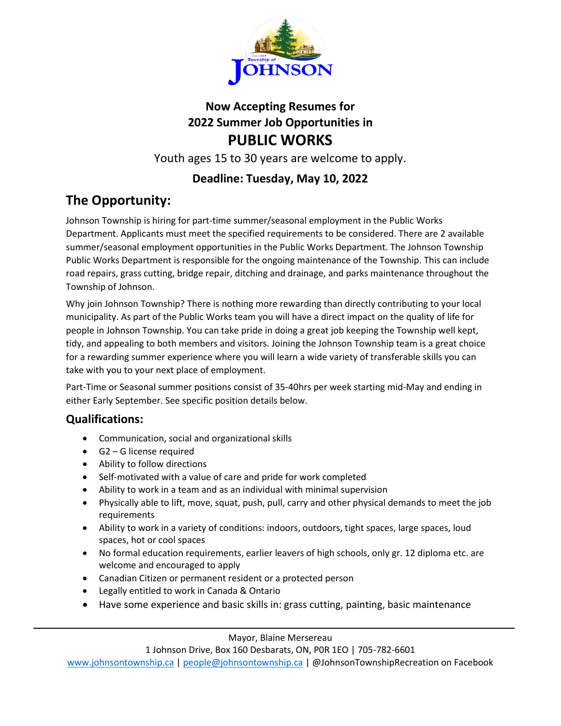

## **Now Accepting Resumes for 2022 Summer Job Opportunities in PUBLIC WORKS**

Youth ages 15 to 30 years are welcome to apply.

#### **Deadline: Tuesday, May 10, 2022**

# **The Opportunity:**

Johnson Township is hiring for part-time summer/seasonal employment in the Public Works Department. Applicants must meet the specified requirements to be considered. There are 2 available summer/seasonal employment opportunities in the Public Works Department. The Johnson Township Public Works Department is responsible for the ongoing maintenance of the Township. This can include road repairs, grass cutting, bridge repair, ditching and drainage, and parks maintenance throughout the Township of Johnson.

Why join Johnson Township? There is nothing more rewarding than directly contributing to your local municipality. As part of the Public Works team you will have a direct impact on the quality of life for people in Johnson Township. You can take pride in doing a great job keeping the Township well kept, tidy, and appealing to both members and visitors. Joining the Johnson Township team is a great choice for a rewarding summer experience where you will learn a wide variety of transferable skills you can take with you to your next place of employment.

Part-Time or Seasonal summer positions consist of 35-40hrs per week starting mid-May and ending in either Early September. See specific position details below.

#### **Qualifications:**

- Communication, social and organizational skills
- G2 G license required
- Ability to follow directions
- Self-motivated with a value of care and pride for work completed
- Ability to work in a team and as an individual with minimal supervision
- Physically able to lift, move, squat, push, pull, carry and other physical demands to meet the job requirements
- Ability to work in a variety of conditions: indoors, outdoors, tight spaces, large spaces, loud spaces, hot or cool spaces
- No formal education requirements, earlier leavers of high schools, only gr. 12 diploma etc. are welcome and encouraged to apply
- Canadian Citizen or permanent resident or a protected person
- Legally entitled to work in Canada & Ontario
- Have some experience and basic skills in: grass cutting, painting, basic maintenance

Mayor, Blaine Mersereau

1 Johnson Drive, Box 160 Desbarats, ON, P0R 1EO | 705-782-6601

[www.johnsontownship.ca](http://www.johnsontownship.ca/) | [people@johnsontownship.ca](mailto:people@johnsontownship.ca) | @JohnsonTownshipRecreation on Facebook